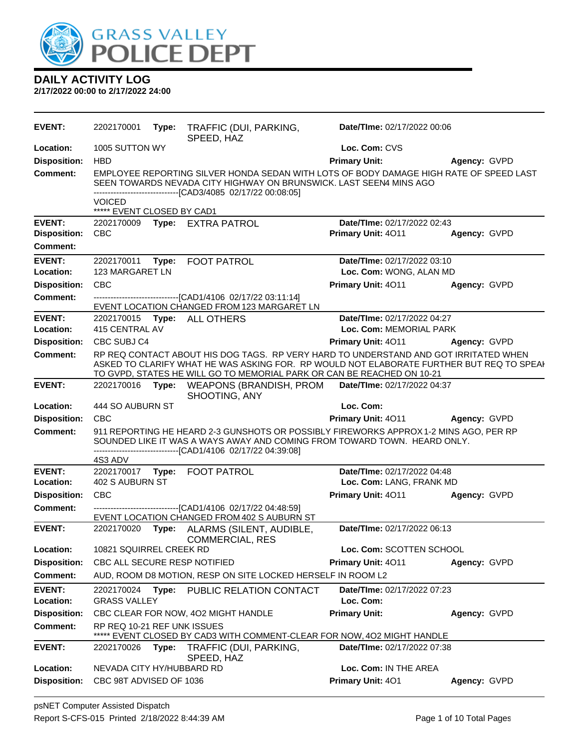

| <b>EVENT:</b>       | 2202170001                                  | Type: | TRAFFIC (DUI, PARKING,<br>SPEED, HAZ                                                                                                                                                                                                                       | Date/TIme: 02/17/2022 00:06 |                     |
|---------------------|---------------------------------------------|-------|------------------------------------------------------------------------------------------------------------------------------------------------------------------------------------------------------------------------------------------------------------|-----------------------------|---------------------|
| Location:           | 1005 SUTTON WY                              |       |                                                                                                                                                                                                                                                            | Loc. Com: CVS               |                     |
| <b>Disposition:</b> | <b>HBD</b>                                  |       |                                                                                                                                                                                                                                                            | <b>Primary Unit:</b>        | Agency: GVPD        |
| <b>Comment:</b>     |                                             |       | EMPLOYEE REPORTING SILVER HONDA SEDAN WITH LOTS OF BODY DAMAGE HIGH RATE OF SPEED LAST<br>SEEN TOWARDS NEVADA CITY HIGHWAY ON BRUNSWICK. LAST SEEN4 MINS AGO<br>------------------------------[CAD3/4085 02/17/22 00:08:05]                                |                             |                     |
|                     | <b>VOICED</b><br>***** EVENT CLOSED BY CAD1 |       |                                                                                                                                                                                                                                                            |                             |                     |
| <b>EVENT:</b>       | 2202170009                                  |       | Type: EXTRA PATROL                                                                                                                                                                                                                                         | Date/TIme: 02/17/2022 02:43 |                     |
| <b>Disposition:</b> | <b>CBC</b>                                  |       |                                                                                                                                                                                                                                                            | Primary Unit: 4011          | Agency: GVPD        |
| <b>Comment:</b>     |                                             |       |                                                                                                                                                                                                                                                            |                             |                     |
| <b>EVENT:</b>       | 2202170011                                  | Type: | <b>FOOT PATROL</b>                                                                                                                                                                                                                                         | Date/TIme: 02/17/2022 03:10 |                     |
| Location:           | 123 MARGARET LN                             |       |                                                                                                                                                                                                                                                            | Loc. Com: WONG, ALAN MD     |                     |
| <b>Disposition:</b> | <b>CBC</b>                                  |       |                                                                                                                                                                                                                                                            | Primary Unit: 4011          | Agency: GVPD        |
| <b>Comment:</b>     |                                             |       | -------------------------------[CAD1/4106 02/17/22 03:11:14]<br>EVENT LOCATION CHANGED FROM 123 MARGARET LN                                                                                                                                                |                             |                     |
| <b>EVENT:</b>       | 2202170015                                  |       | Type: ALL OTHERS                                                                                                                                                                                                                                           | Date/TIme: 02/17/2022 04:27 |                     |
| Location:           | 415 CENTRAL AV                              |       |                                                                                                                                                                                                                                                            | Loc. Com: MEMORIAL PARK     |                     |
| <b>Disposition:</b> | CBC SUBJ C4                                 |       |                                                                                                                                                                                                                                                            | <b>Primary Unit: 4011</b>   | Agency: GVPD        |
| <b>Comment:</b>     |                                             |       | RP REQ CONTACT ABOUT HIS DOG TAGS. RP VERY HARD TO UNDERSTAND AND GOT IRRITATED WHEN<br>ASKED TO CLARIFY WHAT HE WAS ASKING FOR. RP WOULD NOT ELABORATE FURTHER BUT REQ TO SPEAI<br>TO GVPD, STATES HE WILL GO TO MEMORIAL PARK OR CAN BE REACHED ON 10-21 |                             |                     |
| <b>EVENT:</b>       | 2202170016 Type:                            |       | WEAPONS (BRANDISH, PROM Date/Time: 02/17/2022 04:37<br>SHOOTING, ANY                                                                                                                                                                                       |                             |                     |
| Location:           | 444 SO AUBURN ST                            |       |                                                                                                                                                                                                                                                            | Loc. Com:                   |                     |
| <b>Disposition:</b> | <b>CBC</b>                                  |       |                                                                                                                                                                                                                                                            | Primary Unit: 4011          | <b>Agency: GVPD</b> |
| <b>Comment:</b>     |                                             |       | 911 REPORTING HE HEARD 2-3 GUNSHOTS OR POSSIBLY FIREWORKS APPROX 1-2 MINS AGO, PER RP<br>SOUNDED LIKE IT WAS A WAYS AWAY AND COMING FROM TOWARD TOWN. HEARD ONLY.<br>--------------------------------[CAD1/4106 02/17/22 04:39:08]                         |                             |                     |
|                     | 4S3 ADV                                     |       |                                                                                                                                                                                                                                                            |                             |                     |
| <b>EVENT:</b>       | 2202170017                                  |       | Type: FOOT PATROL                                                                                                                                                                                                                                          | Date/TIme: 02/17/2022 04:48 |                     |
| Location:           | 402 S AUBURN ST                             |       |                                                                                                                                                                                                                                                            | Loc. Com: LANG, FRANK MD    |                     |
| <b>Disposition:</b> | <b>CBC</b>                                  |       |                                                                                                                                                                                                                                                            | Primary Unit: 4011          | Agency: GVPD        |
| <b>Comment:</b>     |                                             |       | -------------------------------[CAD1/4106 02/17/22 04:48:59]<br>EVENT LOCATION CHANGED FROM 402 S AUBURN ST                                                                                                                                                |                             |                     |
| <b>EVENT:</b>       | 2202170020                                  | Type: | ALARMS (SILENT, AUDIBLE,<br>COMMERCIAL, RES                                                                                                                                                                                                                | Date/TIme: 02/17/2022 06:13 |                     |
| Location:           | 10821 SQUIRREL CREEK RD                     |       |                                                                                                                                                                                                                                                            | Loc. Com: SCOTTEN SCHOOL    |                     |
| <b>Disposition:</b> | CBC ALL SECURE RESP NOTIFIED                |       |                                                                                                                                                                                                                                                            | Primary Unit: 4011          | Agency: GVPD        |
| <b>Comment:</b>     |                                             |       | AUD, ROOM D8 MOTION, RESP ON SITE LOCKED HERSELF IN ROOM L2                                                                                                                                                                                                |                             |                     |
| <b>EVENT:</b>       | 2202170024                                  | Type: | PUBLIC RELATION CONTACT                                                                                                                                                                                                                                    | Date/TIme: 02/17/2022 07:23 |                     |
| Location:           | <b>GRASS VALLEY</b>                         |       |                                                                                                                                                                                                                                                            | Loc. Com:                   |                     |
| <b>Disposition:</b> |                                             |       | CBC CLEAR FOR NOW, 4O2 MIGHT HANDLE                                                                                                                                                                                                                        | <b>Primary Unit:</b>        | Agency: GVPD        |
| <b>Comment:</b>     | RP REQ 10-21 REF UNK ISSUES                 |       | EVENT CLOSED BY CAD3 WITH COMMENT-CLEAR FOR NOW, 4O2 MIGHT HANDLE                                                                                                                                                                                          |                             |                     |
| <b>EVENT:</b>       | 2202170026                                  | Type: | TRAFFIC (DUI, PARKING,<br>SPEED, HAZ                                                                                                                                                                                                                       | Date/TIme: 02/17/2022 07:38 |                     |
| Location:           | NEVADA CITY HY/HUBBARD RD                   |       |                                                                                                                                                                                                                                                            | Loc. Com: IN THE AREA       |                     |
| <b>Disposition:</b> | CBC 98T ADVISED OF 1036                     |       |                                                                                                                                                                                                                                                            | Primary Unit: 401           | Agency: GVPD        |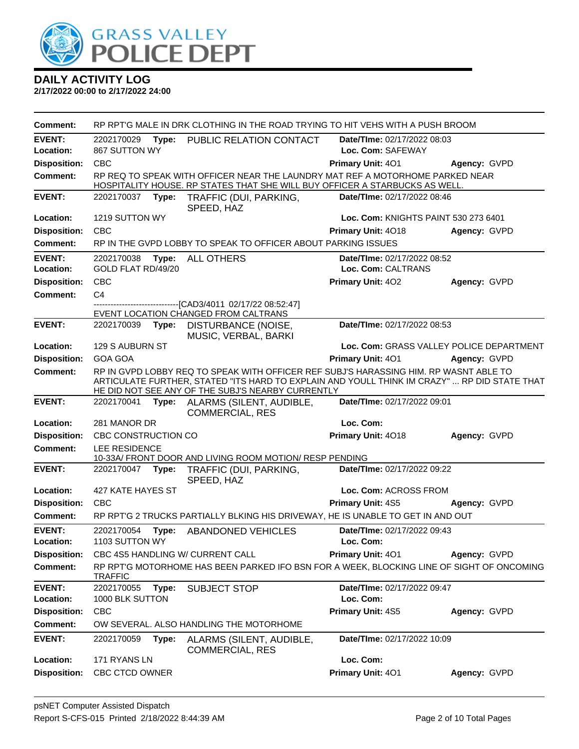

| <b>Comment:</b>            | RP RPT'G MALE IN DRK CLOTHING IN THE ROAD TRYING TO HIT VEHS WITH A PUSH BROOM                                                                                                                                                             |                                                                                                                                                              |                                          |              |  |  |
|----------------------------|--------------------------------------------------------------------------------------------------------------------------------------------------------------------------------------------------------------------------------------------|--------------------------------------------------------------------------------------------------------------------------------------------------------------|------------------------------------------|--------------|--|--|
| <b>EVENT:</b>              | 2202170029                                                                                                                                                                                                                                 | Type: PUBLIC RELATION CONTACT                                                                                                                                | Date/TIme: 02/17/2022 08:03              |              |  |  |
| Location:                  | 867 SUTTON WY                                                                                                                                                                                                                              |                                                                                                                                                              | Loc. Com: SAFEWAY                        |              |  |  |
| <b>Disposition:</b>        | <b>CBC</b>                                                                                                                                                                                                                                 |                                                                                                                                                              | Primary Unit: 401                        | Agency: GVPD |  |  |
| <b>Comment:</b>            |                                                                                                                                                                                                                                            | RP REQ TO SPEAK WITH OFFICER NEAR THE LAUNDRY MAT REF A MOTORHOME PARKED NEAR<br>HOSPITALITY HOUSE. RP STATES THAT SHE WILL BUY OFFICER A STARBUCKS AS WELL. |                                          |              |  |  |
| <b>EVENT:</b>              | 2202170037<br>Type:                                                                                                                                                                                                                        | TRAFFIC (DUI, PARKING,<br>SPEED, HAZ                                                                                                                         | Date/TIme: 02/17/2022 08:46              |              |  |  |
| Location:                  | 1219 SUTTON WY                                                                                                                                                                                                                             |                                                                                                                                                              | Loc. Com: KNIGHTS PAINT 530 273 6401     |              |  |  |
| <b>Disposition:</b>        | <b>CBC</b>                                                                                                                                                                                                                                 |                                                                                                                                                              | <b>Primary Unit: 4018</b>                | Agency: GVPD |  |  |
| Comment:                   |                                                                                                                                                                                                                                            | RP IN THE GVPD LOBBY TO SPEAK TO OFFICER ABOUT PARKING ISSUES                                                                                                |                                          |              |  |  |
| <b>EVENT:</b>              | 2202170038                                                                                                                                                                                                                                 | Type: ALL OTHERS                                                                                                                                             | Date/TIme: 02/17/2022 08:52              |              |  |  |
| Location:                  | GOLD FLAT RD/49/20                                                                                                                                                                                                                         |                                                                                                                                                              | Loc. Com: CALTRANS                       |              |  |  |
| <b>Disposition:</b>        | <b>CBC</b>                                                                                                                                                                                                                                 |                                                                                                                                                              | Primary Unit: 402                        | Agency: GVPD |  |  |
| <b>Comment:</b>            | C <sub>4</sub>                                                                                                                                                                                                                             |                                                                                                                                                              |                                          |              |  |  |
|                            |                                                                                                                                                                                                                                            | --------------------[CAD3/4011 02/17/22 08:52:47]<br>EVENT LOCATION CHANGED FROM CALTRANS                                                                    |                                          |              |  |  |
| <b>EVENT:</b>              | 2202170039<br>Type:                                                                                                                                                                                                                        | DISTURBANCE (NOISE,<br>MUSIC, VERBAL, BARKI                                                                                                                  | Date/TIme: 02/17/2022 08:53              |              |  |  |
| Location:                  | 129 S AUBURN ST                                                                                                                                                                                                                            |                                                                                                                                                              | Loc. Com: GRASS VALLEY POLICE DEPARTMENT |              |  |  |
| <b>Disposition:</b>        | <b>GOA GOA</b>                                                                                                                                                                                                                             |                                                                                                                                                              | Primary Unit: 401                        | Agency: GVPD |  |  |
| <b>Comment:</b>            | RP IN GVPD LOBBY REQ TO SPEAK WITH OFFICER REF SUBJ'S HARASSING HIM. RP WASNT ABLE TO<br>ARTICULATE FURTHER, STATED "ITS HARD TO EXPLAIN AND YOULL THINK IM CRAZY"  RP DID STATE THAT<br>HE DID NOT SEE ANY OF THE SUBJ'S NEARBY CURRENTLY |                                                                                                                                                              |                                          |              |  |  |
| <b>EVENT:</b>              | 2202170041                                                                                                                                                                                                                                 | Type: ALARMS (SILENT, AUDIBLE,<br><b>COMMERCIAL, RES</b>                                                                                                     | Date/TIme: 02/17/2022 09:01              |              |  |  |
| Location:                  | 281 MANOR DR                                                                                                                                                                                                                               |                                                                                                                                                              | Loc. Com:                                |              |  |  |
| <b>Disposition:</b>        | CBC CONSTRUCTION CO                                                                                                                                                                                                                        |                                                                                                                                                              | Primary Unit: 4018                       | Agency: GVPD |  |  |
| <b>Comment:</b>            | LEE RESIDENCE                                                                                                                                                                                                                              | 10-33A/ FRONT DOOR AND LIVING ROOM MOTION/ RESP PENDING                                                                                                      |                                          |              |  |  |
| <b>EVENT:</b>              | 2202170047 Type:                                                                                                                                                                                                                           | TRAFFIC (DUI, PARKING,<br>SPEED, HAZ                                                                                                                         | Date/TIme: 02/17/2022 09:22              |              |  |  |
| Location:                  | 427 KATE HAYES ST                                                                                                                                                                                                                          |                                                                                                                                                              | Loc. Com: ACROSS FROM                    |              |  |  |
| <b>Disposition:</b>        | <b>CBC</b>                                                                                                                                                                                                                                 |                                                                                                                                                              | <b>Primary Unit: 4S5</b>                 | Agency: GVPD |  |  |
| Comment:                   |                                                                                                                                                                                                                                            | RP RPT'G 2 TRUCKS PARTIALLY BLKING HIS DRIVEWAY, HE IS UNABLE TO GET IN AND OUT                                                                              |                                          |              |  |  |
| <b>EVENT:</b><br>Location: | 2202170054<br>1103 SUTTON WY                                                                                                                                                                                                               | Type: ABANDONED VEHICLES                                                                                                                                     | Date/TIme: 02/17/2022 09:43<br>Loc. Com: |              |  |  |
| <b>Disposition:</b>        | CBC 4S5 HANDLING W/ CURRENT CALL                                                                                                                                                                                                           |                                                                                                                                                              | <b>Primary Unit: 401</b>                 | Agency: GVPD |  |  |
| Comment:                   | <b>TRAFFIC</b>                                                                                                                                                                                                                             | RP RPT'G MOTORHOME HAS BEEN PARKED IFO BSN FOR A WEEK, BLOCKING LINE OF SIGHT OF ONCOMING                                                                    |                                          |              |  |  |
| <b>EVENT:</b>              | 2202170055<br>Type:                                                                                                                                                                                                                        | <b>SUBJECT STOP</b>                                                                                                                                          | Date/TIme: 02/17/2022 09:47              |              |  |  |
| Location:                  | 1000 BLK SUTTON                                                                                                                                                                                                                            |                                                                                                                                                              | Loc. Com:                                |              |  |  |
| <b>Disposition:</b>        | <b>CBC</b>                                                                                                                                                                                                                                 |                                                                                                                                                              | Primary Unit: 4S5                        | Agency: GVPD |  |  |
| <b>Comment:</b>            |                                                                                                                                                                                                                                            | OW SEVERAL, ALSO HANDLING THE MOTORHOME                                                                                                                      |                                          |              |  |  |
| <b>EVENT:</b>              | 2202170059<br>Type:                                                                                                                                                                                                                        | ALARMS (SILENT, AUDIBLE,<br><b>COMMERCIAL, RES</b>                                                                                                           | Date/TIme: 02/17/2022 10:09              |              |  |  |
| Location:                  | 171 RYANS LN                                                                                                                                                                                                                               |                                                                                                                                                              | Loc. Com:                                |              |  |  |
| <b>Disposition:</b>        | CBC CTCD OWNER                                                                                                                                                                                                                             |                                                                                                                                                              | Primary Unit: 401                        | Agency: GVPD |  |  |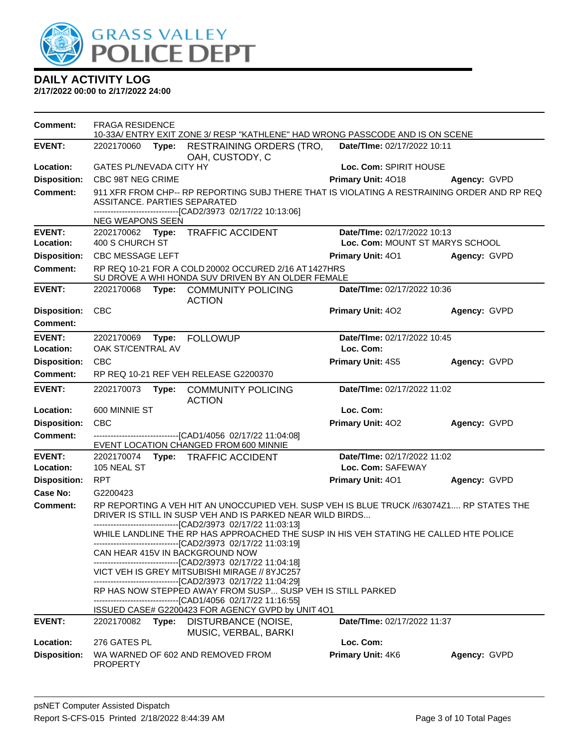

| Comment:                   | <b>FRAGA RESIDENCE</b><br>10-33A/ ENTRY EXIT ZONE 3/ RESP "KATHLENE" HAD WRONG PASSCODE AND IS ON SCENE |                                                                                                                                                                                                                       |                                                  |              |  |  |
|----------------------------|---------------------------------------------------------------------------------------------------------|-----------------------------------------------------------------------------------------------------------------------------------------------------------------------------------------------------------------------|--------------------------------------------------|--------------|--|--|
| <b>EVENT:</b>              | 2202170060<br>Type:                                                                                     | RESTRAINING ORDERS (TRO,<br>OAH, CUSTODY, C                                                                                                                                                                           | Date/TIme: 02/17/2022 10:11                      |              |  |  |
| Location:                  | <b>GATES PL/NEVADA CITY HY</b>                                                                          |                                                                                                                                                                                                                       | Loc. Com: SPIRIT HOUSE                           |              |  |  |
| <b>Disposition:</b>        | CBC 98T NEG CRIME                                                                                       |                                                                                                                                                                                                                       | Primary Unit: 4018                               | Agency: GVPD |  |  |
| <b>Comment:</b>            | ASSITANCE. PARTIES SEPARATED                                                                            | 911 XFR FROM CHP-- RP REPORTING SUBJ THERE THAT IS VIOLATING A RESTRAINING ORDER AND RP REQ<br>--------------------[CAD2/3973 02/17/22 10:13:06]                                                                      |                                                  |              |  |  |
|                            | NEG WEAPONS SEEN                                                                                        |                                                                                                                                                                                                                       |                                                  |              |  |  |
| <b>EVENT:</b>              |                                                                                                         | 2202170062 Type: TRAFFIC ACCIDENT                                                                                                                                                                                     | Date/TIme: 02/17/2022 10:13                      |              |  |  |
| <b>Location:</b>           | 400 S CHURCH ST                                                                                         |                                                                                                                                                                                                                       | Loc. Com: MOUNT ST MARYS SCHOOL                  |              |  |  |
| <b>Disposition:</b>        | <b>CBC MESSAGE LEFT</b>                                                                                 |                                                                                                                                                                                                                       | <b>Primary Unit: 401</b>                         | Agency: GVPD |  |  |
| <b>Comment:</b>            |                                                                                                         | RP REQ 10-21 FOR A COLD 20002 OCCURED 2/16 AT 1427HRS<br>SU DROVE A WHI HONDA SUV DRIVEN BY AN OLDER FEMALE                                                                                                           |                                                  |              |  |  |
| <b>EVENT:</b>              | 2202170068                                                                                              | Type: COMMUNITY POLICING<br><b>ACTION</b>                                                                                                                                                                             | Date/TIme: 02/17/2022 10:36                      |              |  |  |
| <b>Disposition:</b>        | <b>CBC</b>                                                                                              |                                                                                                                                                                                                                       | Primary Unit: 402                                | Agency: GVPD |  |  |
| <b>Comment:</b>            |                                                                                                         |                                                                                                                                                                                                                       |                                                  |              |  |  |
| <b>EVENT:</b>              | 2202170069                                                                                              | Type: FOLLOWUP                                                                                                                                                                                                        | Date/TIme: 02/17/2022 10:45                      |              |  |  |
| Location:                  | OAK ST/CENTRAL AV                                                                                       |                                                                                                                                                                                                                       | Loc. Com:                                        |              |  |  |
| <b>Disposition:</b>        | <b>CBC</b>                                                                                              |                                                                                                                                                                                                                       | <b>Primary Unit: 4S5</b>                         | Agency: GVPD |  |  |
| <b>Comment:</b>            |                                                                                                         | RP REQ 10-21 REF VEH RELEASE G2200370                                                                                                                                                                                 |                                                  |              |  |  |
| <b>EVENT:</b>              | 2202170073                                                                                              | Type: COMMUNITY POLICING<br><b>ACTION</b>                                                                                                                                                                             | Date/TIme: 02/17/2022 11:02                      |              |  |  |
| Location:                  | 600 MINNIE ST                                                                                           |                                                                                                                                                                                                                       | Loc. Com:                                        |              |  |  |
| <b>Disposition:</b>        | <b>CBC</b>                                                                                              |                                                                                                                                                                                                                       | Primary Unit: 402                                | Agency: GVPD |  |  |
| <b>Comment:</b>            |                                                                                                         | -------------------------------[CAD1/4056 02/17/22 11:04:08]<br>EVENT LOCATION CHANGED FROM 600 MINNIE                                                                                                                |                                                  |              |  |  |
| <b>EVENT:</b><br>Location: | 105 NEAL ST                                                                                             | 2202170074 Type: TRAFFIC ACCIDENT                                                                                                                                                                                     | Date/TIme: 02/17/2022 11:02<br>Loc. Com: SAFEWAY |              |  |  |
| <b>Disposition:</b>        | <b>RPT</b>                                                                                              |                                                                                                                                                                                                                       | Primary Unit: 401                                | Agency: GVPD |  |  |
| <b>Case No:</b>            | G2200423                                                                                                |                                                                                                                                                                                                                       |                                                  |              |  |  |
| <b>Comment:</b>            |                                                                                                         | RP REPORTING A VEH HIT AN UNOCCUPIED VEH. SUSP VEH IS BLUE TRUCK //63074Z1 RP STATES THE<br>DRIVER IS STILL IN SUSP VEH AND IS PARKED NEAR WILD BIRDS<br>-------------------------------[CAD2/3973_02/17/22 11:03:13] |                                                  |              |  |  |
|                            |                                                                                                         | WHILE LANDLINE THE RP HAS APPROACHED THE SUSP IN HIS VEH STATING HE CALLED HTE POLICE<br>-------------------------------[CAD2/3973 02/17/22 11:03:19]                                                                 |                                                  |              |  |  |
|                            | CAN HEAR 415V IN BACKGROUND NOW                                                                         | -------------------------------[CAD2/3973 02/17/22 11:04:18]                                                                                                                                                          |                                                  |              |  |  |
|                            |                                                                                                         | VICT VEH IS GREY MITSUBISHI MIRAGE // 8YJC257<br>-------------------------------[CAD2/3973_02/17/22 11:04:29]                                                                                                         |                                                  |              |  |  |
|                            |                                                                                                         | RP HAS NOW STEPPED AWAY FROM SUSP SUSP VEH IS STILL PARKED<br>-------------------------------[CAD1/4056 02/17/22 11:16:55]                                                                                            |                                                  |              |  |  |
| <b>EVENT:</b>              | 2202170082<br>Type:                                                                                     | ISSUED CASE# G2200423 FOR AGENCY GVPD by UNIT 4O1<br>DISTURBANCE (NOISE,                                                                                                                                              | Date/TIme: 02/17/2022 11:37                      |              |  |  |
| Location:                  |                                                                                                         | MUSIC, VERBAL, BARKI                                                                                                                                                                                                  | Loc. Com:                                        |              |  |  |
|                            | 276 GATES PL                                                                                            | WA WARNED OF 602 AND REMOVED FROM                                                                                                                                                                                     | Primary Unit: 4K6                                |              |  |  |
| <b>Disposition:</b>        | <b>PROPERTY</b>                                                                                         |                                                                                                                                                                                                                       |                                                  | Agency: GVPD |  |  |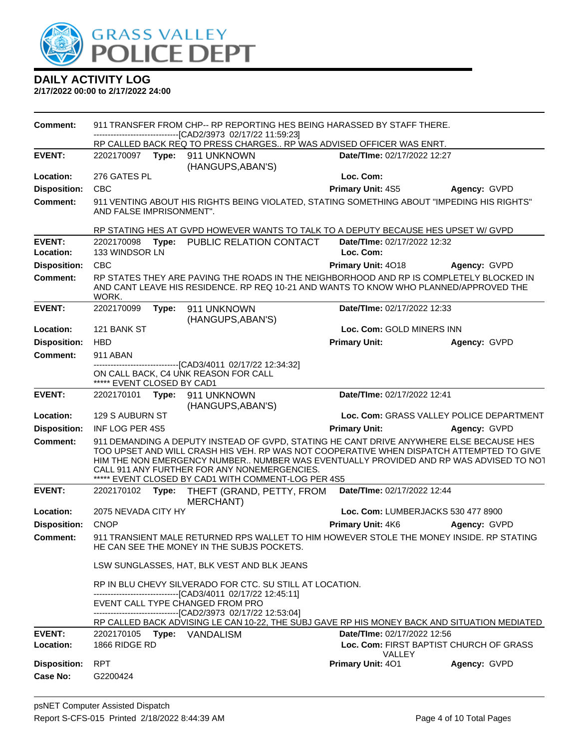

| Comment:            | 911 TRANSFER FROM CHP-- RP REPORTING HES BEING HARASSED BY STAFF THERE.                                                |       |                                                                                                                                                                                                                                                                                                                                                                                     |                                                          |                                          |  |  |
|---------------------|------------------------------------------------------------------------------------------------------------------------|-------|-------------------------------------------------------------------------------------------------------------------------------------------------------------------------------------------------------------------------------------------------------------------------------------------------------------------------------------------------------------------------------------|----------------------------------------------------------|------------------------------------------|--|--|
|                     |                                                                                                                        |       | --------------------[CAD2/3973_02/17/22_11:59:23]<br>RP CALLED BACK REQ TO PRESS CHARGES RP WAS ADVISED OFFICER WAS ENRT.                                                                                                                                                                                                                                                           |                                                          |                                          |  |  |
| <b>EVENT:</b>       | 2202170097 Type:                                                                                                       |       | 911 UNKNOWN                                                                                                                                                                                                                                                                                                                                                                         | Date/TIme: 02/17/2022 12:27                              |                                          |  |  |
|                     |                                                                                                                        |       | (HANGUPS, ABAN'S)                                                                                                                                                                                                                                                                                                                                                                   |                                                          |                                          |  |  |
| Location:           | 276 GATES PL                                                                                                           |       |                                                                                                                                                                                                                                                                                                                                                                                     | Loc. Com:                                                |                                          |  |  |
| <b>Disposition:</b> | <b>CBC</b>                                                                                                             |       |                                                                                                                                                                                                                                                                                                                                                                                     | Primary Unit: 4S5                                        | Agency: GVPD                             |  |  |
| <b>Comment:</b>     | 911 VENTING ABOUT HIS RIGHTS BEING VIOLATED, STATING SOMETHING ABOUT "IMPEDING HIS RIGHTS"<br>AND FALSE IMPRISONMENT". |       |                                                                                                                                                                                                                                                                                                                                                                                     |                                                          |                                          |  |  |
|                     |                                                                                                                        |       | RP STATING HES AT GVPD HOWEVER WANTS TO TALK TO A DEPUTY BECAUSE HES UPSET W/ GVPD                                                                                                                                                                                                                                                                                                  |                                                          |                                          |  |  |
| <b>EVENT:</b>       | 2202170098                                                                                                             |       | Type: PUBLIC RELATION CONTACT                                                                                                                                                                                                                                                                                                                                                       | Date/TIme: 02/17/2022 12:32                              |                                          |  |  |
| Location:           | 133 WINDSOR LN                                                                                                         |       |                                                                                                                                                                                                                                                                                                                                                                                     | Loc. Com:                                                |                                          |  |  |
| <b>Disposition:</b> | CBC                                                                                                                    |       |                                                                                                                                                                                                                                                                                                                                                                                     | Primary Unit: 4018                                       | Agency: GVPD                             |  |  |
| <b>Comment:</b>     | WORK.                                                                                                                  |       | RP STATES THEY ARE PAVING THE ROADS IN THE NEIGHBORHOOD AND RP IS COMPLETELY BLOCKED IN<br>AND CANT LEAVE HIS RESIDENCE. RP REQ 10-21 AND WANTS TO KNOW WHO PLANNED/APPROVED THE                                                                                                                                                                                                    |                                                          |                                          |  |  |
| <b>EVENT:</b>       | 2202170099                                                                                                             | Type: | 911 UNKNOWN<br>(HANGUPS, ABAN'S)                                                                                                                                                                                                                                                                                                                                                    | Date/TIme: 02/17/2022 12:33                              |                                          |  |  |
| Location:           | 121 BANK ST                                                                                                            |       |                                                                                                                                                                                                                                                                                                                                                                                     | Loc. Com: GOLD MINERS INN                                |                                          |  |  |
| <b>Disposition:</b> | <b>HBD</b>                                                                                                             |       |                                                                                                                                                                                                                                                                                                                                                                                     | <b>Primary Unit:</b>                                     | Agency: GVPD                             |  |  |
| <b>Comment:</b>     | 911 ABAN                                                                                                               |       |                                                                                                                                                                                                                                                                                                                                                                                     |                                                          |                                          |  |  |
|                     | ***** EVENT CLOSED BY CAD1                                                                                             |       | ----------------------[CAD3/4011_02/17/22_12:34:32]<br>ON CALL BACK, C4 UNK REASON FOR CALL                                                                                                                                                                                                                                                                                         |                                                          |                                          |  |  |
| <b>EVENT:</b>       | 2202170101                                                                                                             |       | Type: 911 UNKNOWN<br>(HANGUPS, ABAN'S)                                                                                                                                                                                                                                                                                                                                              | Date/TIme: 02/17/2022 12:41                              |                                          |  |  |
| Location:           | 129 S AUBURN ST                                                                                                        |       |                                                                                                                                                                                                                                                                                                                                                                                     |                                                          | Loc. Com: GRASS VALLEY POLICE DEPARTMENT |  |  |
| <b>Disposition:</b> | INF LOG PER 4S5                                                                                                        |       |                                                                                                                                                                                                                                                                                                                                                                                     | <b>Primary Unit:</b>                                     | Agency: GVPD                             |  |  |
| <b>Comment:</b>     |                                                                                                                        |       | 911 DEMANDING A DEPUTY INSTEAD OF GVPD, STATING HE CANT DRIVE ANYWHERE ELSE BECAUSE HES<br>TOO UPSET AND WILL CRASH HIS VEH. RP WAS NOT COOPERATIVE WHEN DISPATCH ATTEMPTED TO GIVE<br>HIM THE NON EMERGENCY NUMBER NUMBER WAS EVENTUALLY PROVIDED AND RP WAS ADVISED TO NOT<br>CALL 911 ANY FURTHER FOR ANY NONEMERGENCIES.<br>***** EVENT CLOSED BY CAD1 WITH COMMENT-LOG PER 4S5 |                                                          |                                          |  |  |
| <b>EVENT:</b>       | 2202170102                                                                                                             | Type: | THEFT (GRAND, PETTY, FROM<br><b>MERCHANT)</b>                                                                                                                                                                                                                                                                                                                                       | Date/TIme: 02/17/2022 12:44                              |                                          |  |  |
| Location:           | 2075 NEVADA CITY HY                                                                                                    |       |                                                                                                                                                                                                                                                                                                                                                                                     | Loc. Com: LUMBERJACKS 530 477 8900                       |                                          |  |  |
| <b>Disposition:</b> | <b>CNOP</b>                                                                                                            |       |                                                                                                                                                                                                                                                                                                                                                                                     | Primary Unit: 4K6                                        | Agency: GVPD                             |  |  |
| Comment:            |                                                                                                                        |       | 911 TRANSIENT MALE RETURNED RPS WALLET TO HIM HOWEVER STOLE THE MONEY INSIDE. RP STATING<br>HE CAN SEE THE MONEY IN THE SUBJS POCKETS.                                                                                                                                                                                                                                              |                                                          |                                          |  |  |
|                     |                                                                                                                        |       | LSW SUNGLASSES, HAT, BLK VEST AND BLK JEANS                                                                                                                                                                                                                                                                                                                                         |                                                          |                                          |  |  |
|                     |                                                                                                                        |       | RP IN BLU CHEVY SILVERADO FOR CTC. SU STILL AT LOCATION.<br>-------------------------------[CAD3/4011 02/17/22 12:45:11]                                                                                                                                                                                                                                                            |                                                          |                                          |  |  |
|                     |                                                                                                                        |       | EVENT CALL TYPE CHANGED FROM PRO<br>-------------------------------[CAD2/3973 02/17/22 12:53:04]                                                                                                                                                                                                                                                                                    |                                                          |                                          |  |  |
|                     |                                                                                                                        |       | RP CALLED BACK ADVISING LE CAN 10-22, THE SUBJ GAVE RP HIS MONEY BACK AND SITUATION MEDIATED                                                                                                                                                                                                                                                                                        |                                                          |                                          |  |  |
| <b>EVENT:</b>       | 2202170105                                                                                                             |       | Type: VANDALISM                                                                                                                                                                                                                                                                                                                                                                     | Date/TIme: 02/17/2022 12:56                              |                                          |  |  |
| Location:           | 1866 RIDGE RD                                                                                                          |       |                                                                                                                                                                                                                                                                                                                                                                                     | Loc. Com: FIRST BAPTIST CHURCH OF GRASS<br><b>VALLEY</b> |                                          |  |  |
| <b>Disposition:</b> | <b>RPT</b>                                                                                                             |       |                                                                                                                                                                                                                                                                                                                                                                                     | Primary Unit: 401                                        | Agency: GVPD                             |  |  |
| <b>Case No:</b>     | G2200424                                                                                                               |       |                                                                                                                                                                                                                                                                                                                                                                                     |                                                          |                                          |  |  |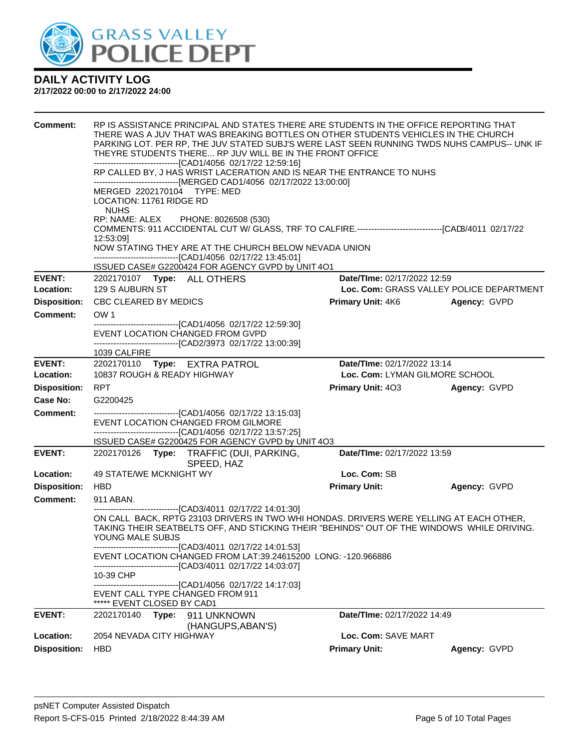

| Comment:            | RP IS ASSISTANCE PRINCIPAL AND STATES THERE ARE STUDENTS IN THE OFFICE REPORTING THAT<br>THERE WAS A JUV THAT WAS BREAKING BOTTLES ON OTHER STUDENTS VEHICLES IN THE CHURCH<br>PARKING LOT. PER RP, THE JUV STATED SUBJ'S WERE LAST SEEN RUNNING TWDS NUHS CAMPUS-- UNK IF<br>THEYRE STUDENTS THERE RP JUV WILL BE IN THE FRONT OFFICE<br>-------------------------------[CAD1/4056 02/17/22 12:59:16]<br>RP CALLED BY, J HAS WRIST LACERATION AND IS NEAR THE ENTRANCE TO NUHS<br>------------------------------[MERGED CAD1/4056 02/17/2022 13:00:00]<br>MERGED 2202170104 TYPE: MED<br>LOCATION: 11761 RIDGE RD<br><b>NUHS</b><br>RP: NAME: ALEX PHONE: 8026508 (530)<br>COMMENTS: 911 ACCIDENTAL CUT W/ GLASS, TRF TO CALFIRE.-------------------------------[CAD3/4011 02/17/22<br>12:53:09]<br>NOW STATING THEY ARE AT THE CHURCH BELOW NEVADA UNION<br>-------------------------------[CAD1/4056 02/17/22 13:45:01]<br>ISSUED CASE# G2200424 FOR AGENCY GVPD by UNIT 4O1 |                                          |              |
|---------------------|---------------------------------------------------------------------------------------------------------------------------------------------------------------------------------------------------------------------------------------------------------------------------------------------------------------------------------------------------------------------------------------------------------------------------------------------------------------------------------------------------------------------------------------------------------------------------------------------------------------------------------------------------------------------------------------------------------------------------------------------------------------------------------------------------------------------------------------------------------------------------------------------------------------------------------------------------------------------------------|------------------------------------------|--------------|
| <b>EVENT:</b>       | 2202170107    Type: ALL OTHERS                                                                                                                                                                                                                                                                                                                                                                                                                                                                                                                                                                                                                                                                                                                                                                                                                                                                                                                                                  | Date/TIme: 02/17/2022 12:59              |              |
| <b>Location:</b>    | 129 S AUBURN ST                                                                                                                                                                                                                                                                                                                                                                                                                                                                                                                                                                                                                                                                                                                                                                                                                                                                                                                                                                 | Loc. Com: GRASS VALLEY POLICE DEPARTMENT |              |
| <b>Disposition:</b> | CBC CLEARED BY MEDICS                                                                                                                                                                                                                                                                                                                                                                                                                                                                                                                                                                                                                                                                                                                                                                                                                                                                                                                                                           | <b>Primary Unit: 4K6</b>                 | Agency: GVPD |
| <b>Comment:</b>     | OW <sub>1</sub>                                                                                                                                                                                                                                                                                                                                                                                                                                                                                                                                                                                                                                                                                                                                                                                                                                                                                                                                                                 |                                          |              |
|                     | ---------------------------[CAD1/4056_02/17/22 12:59:30]<br>EVENT LOCATION CHANGED FROM GVPD<br>-------------------------------[CAD2/3973 02/17/22 13:00:39]<br>1039 CALFIRE                                                                                                                                                                                                                                                                                                                                                                                                                                                                                                                                                                                                                                                                                                                                                                                                    |                                          |              |
| <b>EVENT:</b>       | 2202170110 Type: EXTRA PATROL                                                                                                                                                                                                                                                                                                                                                                                                                                                                                                                                                                                                                                                                                                                                                                                                                                                                                                                                                   | Date/TIme: 02/17/2022 13:14              |              |
| Location:           | 10837 ROUGH & READY HIGHWAY                                                                                                                                                                                                                                                                                                                                                                                                                                                                                                                                                                                                                                                                                                                                                                                                                                                                                                                                                     | Loc. Com: LYMAN GILMORE SCHOOL           |              |
| <b>Disposition:</b> | <b>RPT</b>                                                                                                                                                                                                                                                                                                                                                                                                                                                                                                                                                                                                                                                                                                                                                                                                                                                                                                                                                                      | <b>Primary Unit: 403</b>                 | Agency: GVPD |
| Case No:            | G2200425                                                                                                                                                                                                                                                                                                                                                                                                                                                                                                                                                                                                                                                                                                                                                                                                                                                                                                                                                                        |                                          |              |
| <b>Comment:</b>     | -------------------------------[CAD1/4056 02/17/22 13:15:03]<br>EVENT LOCATION CHANGED FROM GILMORE<br>-------------------------------[CAD1/4056 02/17/22 13:57:25]<br>ISSUED CASE# G2200425 FOR AGENCY GVPD by UNIT 4O3                                                                                                                                                                                                                                                                                                                                                                                                                                                                                                                                                                                                                                                                                                                                                        |                                          |              |
| <b>EVENT:</b>       | 2202170126 Type: TRAFFIC (DUI, PARKING,<br>SPEED, HAZ                                                                                                                                                                                                                                                                                                                                                                                                                                                                                                                                                                                                                                                                                                                                                                                                                                                                                                                           | Date/TIme: 02/17/2022 13:59              |              |
| Location:           | 49 STATE/WE MCKNIGHT WY                                                                                                                                                                                                                                                                                                                                                                                                                                                                                                                                                                                                                                                                                                                                                                                                                                                                                                                                                         | Loc. Com: SB                             |              |
| <b>Disposition:</b> | <b>HBD</b>                                                                                                                                                                                                                                                                                                                                                                                                                                                                                                                                                                                                                                                                                                                                                                                                                                                                                                                                                                      | <b>Primary Unit:</b>                     | Agency: GVPD |
| Comment:            | 911 ABAN.                                                                                                                                                                                                                                                                                                                                                                                                                                                                                                                                                                                                                                                                                                                                                                                                                                                                                                                                                                       |                                          |              |
|                     | -------------------------------[CAD3/4011 02/17/22 14:01:30]<br>ON CALL BACK, RPTG 23103 DRIVERS IN TWO WHI HONDAS. DRIVERS WERE YELLING AT EACH OTHER,<br>TAKING THEIR SEATBELTS OFF, AND STICKING THEIR "BEHINDS" OUT OF THE WINDOWS WHILE DRIVING.<br>YOUNG MALE SUBJS                                                                                                                                                                                                                                                                                                                                                                                                                                                                                                                                                                                                                                                                                                       |                                          |              |
|                     | ------------------------------[CAD3/4011 02/17/22 14:01:53]<br>EVENT LOCATION CHANGED FROM LAT:39.24615200 LONG: -120.966886<br>-------------------------------[CAD3/4011_02/17/22 14:03:07]                                                                                                                                                                                                                                                                                                                                                                                                                                                                                                                                                                                                                                                                                                                                                                                    |                                          |              |
|                     | 10-39 CHP<br>--------------------------------[CAD1/4056 02/17/22 14:17:03]<br>EVENT CALL TYPE CHANGED FROM 911<br>***** EVENT CLOSED BY CAD1                                                                                                                                                                                                                                                                                                                                                                                                                                                                                                                                                                                                                                                                                                                                                                                                                                    |                                          |              |
| <b>EVENT:</b>       | 2202170140<br>Type: 911 UNKNOWN                                                                                                                                                                                                                                                                                                                                                                                                                                                                                                                                                                                                                                                                                                                                                                                                                                                                                                                                                 | Date/TIme: 02/17/2022 14:49              |              |
|                     | (HANGUPS, ABAN'S)                                                                                                                                                                                                                                                                                                                                                                                                                                                                                                                                                                                                                                                                                                                                                                                                                                                                                                                                                               |                                          |              |
| Location:           | 2054 NEVADA CITY HIGHWAY                                                                                                                                                                                                                                                                                                                                                                                                                                                                                                                                                                                                                                                                                                                                                                                                                                                                                                                                                        | Loc. Com: SAVE MART                      |              |
| <b>Disposition:</b> | <b>HBD</b>                                                                                                                                                                                                                                                                                                                                                                                                                                                                                                                                                                                                                                                                                                                                                                                                                                                                                                                                                                      | <b>Primary Unit:</b>                     | Agency: GVPD |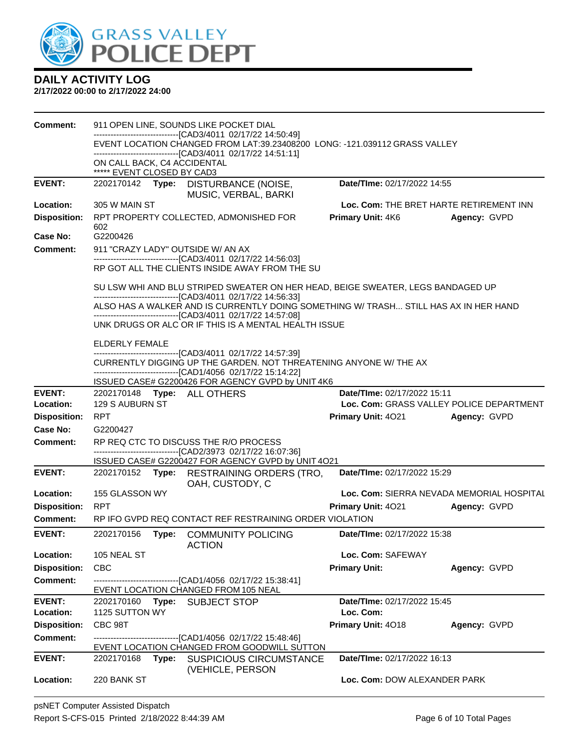

| Comment:            |                                                           |       | 911 OPEN LINE, SOUNDS LIKE POCKET DIAL                                                                                                               |                             |                                           |
|---------------------|-----------------------------------------------------------|-------|------------------------------------------------------------------------------------------------------------------------------------------------------|-----------------------------|-------------------------------------------|
|                     |                                                           |       | -------------------------------[CAD3/4011 02/17/22 14:50:49]<br>EVENT LOCATION CHANGED FROM LAT:39.23408200 LONG: -121.039112 GRASS VALLEY           |                             |                                           |
|                     |                                                           |       | -------------------------------[CAD3/4011 02/17/22 14:51:11]                                                                                         |                             |                                           |
|                     | ON CALL BACK, C4 ACCIDENTAL<br>***** EVENT CLOSED BY CAD3 |       |                                                                                                                                                      |                             |                                           |
| <b>EVENT:</b>       |                                                           |       | 2202170142 Type: DISTURBANCE (NOISE,<br>MUSIC, VERBAL, BARKI                                                                                         | Date/TIme: 02/17/2022 14:55 |                                           |
| Location:           | 305 W MAIN ST                                             |       |                                                                                                                                                      |                             | Loc. Com: THE BRET HARTE RETIREMENT INN   |
| <b>Disposition:</b> |                                                           |       | RPT PROPERTY COLLECTED, ADMONISHED FOR                                                                                                               | Primary Unit: 4K6           | Agency: GVPD                              |
| Case No:            | 602<br>G2200426                                           |       |                                                                                                                                                      |                             |                                           |
| Comment:            | 911 "CRAZY LADY" OUTSIDE W/ AN AX                         |       |                                                                                                                                                      |                             |                                           |
|                     |                                                           |       | -------------------------------[CAD3/4011 02/17/22 14:56:03]<br>RP GOT ALL THE CLIENTS INSIDE AWAY FROM THE SU                                       |                             |                                           |
|                     |                                                           |       | SU LSW WHI AND BLU STRIPED SWEATER ON HER HEAD, BEIGE SWEATER, LEGS BANDAGED UP<br>-------------------------------[CAD3/4011 02/17/22 14:56:33]      |                             |                                           |
|                     |                                                           |       | ALSO HAS A WALKER AND IS CURRENTLY DOING SOMETHING W/ TRASH STILL HAS AX IN HER HAND<br>-------------------------------[CAD3/4011 02/17/22 14:57:08] |                             |                                           |
|                     |                                                           |       | UNK DRUGS OR ALC OR IF THIS IS A MENTAL HEALTH ISSUE                                                                                                 |                             |                                           |
|                     | ELDERLY FEMALE                                            |       |                                                                                                                                                      |                             |                                           |
|                     |                                                           |       | -------------------------------[CAD3/4011 02/17/22 14:57:39]<br>CURRENTLY DIGGING UP THE GARDEN. NOT THREATENING ANYONE W/ THE AX                    |                             |                                           |
|                     |                                                           |       | -------------------------------[CAD1/4056 02/17/22 15:14:22]                                                                                         |                             |                                           |
| <b>EVENT:</b>       | 2202170148 Type: ALL OTHERS                               |       | ISSUED CASE# G2200426 FOR AGENCY GVPD by UNIT 4K6                                                                                                    | Date/TIme: 02/17/2022 15:11 |                                           |
| Location:           | 129 S AUBURN ST                                           |       |                                                                                                                                                      |                             | Loc. Com: GRASS VALLEY POLICE DEPARTMENT  |
| <b>Disposition:</b> | <b>RPT</b>                                                |       |                                                                                                                                                      | Primary Unit: 4021          | Agency: GVPD                              |
| Case No:            | G2200427                                                  |       |                                                                                                                                                      |                             |                                           |
|                     |                                                           |       |                                                                                                                                                      |                             |                                           |
| <b>Comment:</b>     |                                                           |       | RP REQ CTC TO DISCUSS THE R/O PROCESS                                                                                                                |                             |                                           |
|                     |                                                           |       | -------------------------------[CAD2/3973 02/17/22 16:07:36]<br>ISSUED CASE# G2200427 FOR AGENCY GVPD by UNIT 4O21                                   |                             |                                           |
| <b>EVENT:</b>       | 2202170152 <b>Type:</b>                                   |       | <b>RESTRAINING ORDERS (TRO,</b><br>OAH, CUSTODY, C                                                                                                   | Date/TIme: 02/17/2022 15:29 |                                           |
| Location:           | 155 GLASSON WY                                            |       |                                                                                                                                                      |                             | Loc. Com: SIERRA NEVADA MEMORIAL HOSPITAL |
| <b>Disposition:</b> | <b>RPT</b>                                                |       |                                                                                                                                                      | Primary Unit: 4021          | Agency: GVPD                              |
| Comment:            |                                                           |       | RP IFO GVPD REQ CONTACT REF RESTRAINING ORDER VIOLATION                                                                                              |                             |                                           |
| <b>EVENT:</b>       | 2202170156                                                | Type: | <b>COMMUNITY POLICING</b>                                                                                                                            | Date/TIme: 02/17/2022 15:38 |                                           |
| Location:           | 105 NEAL ST                                               |       | <b>ACTION</b>                                                                                                                                        | Loc. Com: SAFEWAY           |                                           |
| <b>Disposition:</b> | <b>CBC</b>                                                |       |                                                                                                                                                      | <b>Primary Unit:</b>        | Agency: GVPD                              |
| <b>Comment:</b>     |                                                           |       | -------------------------------[CAD1/4056 02/17/22 15:38:41]<br>EVENT LOCATION CHANGED FROM 105 NEAL                                                 |                             |                                           |
| <b>EVENT:</b>       | 2202170160                                                | Type: | <b>SUBJECT STOP</b>                                                                                                                                  | Date/TIme: 02/17/2022 15:45 |                                           |
| Location:           | 1125 SUTTON WY                                            |       |                                                                                                                                                      | Loc. Com:                   |                                           |
| <b>Disposition:</b> | CBC 98T                                                   |       |                                                                                                                                                      | Primary Unit: 4018          | Agency: GVPD                              |
| <b>Comment:</b>     |                                                           |       | ---------------------[CAD1/4056_02/17/22 15:48:46]                                                                                                   |                             |                                           |
| <b>EVENT:</b>       | 2202170168                                                | Type: | EVENT LOCATION CHANGED FROM GOODWILL SUTTON<br><b>SUSPICIOUS CIRCUMSTANCE</b><br>(VEHICLE, PERSON                                                    | Date/TIme: 02/17/2022 16:13 |                                           |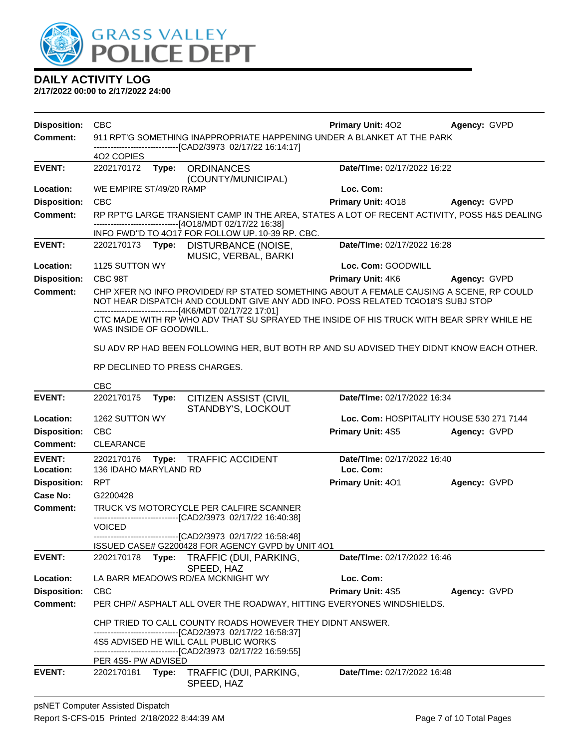

| <b>Disposition:</b>             | <b>CBC</b>                                                                                                                                        |                                                                         |                                                                                                                                                                                                                                         | <b>Primary Unit: 402</b>    | Agency: GVPD                             |  |
|---------------------------------|---------------------------------------------------------------------------------------------------------------------------------------------------|-------------------------------------------------------------------------|-----------------------------------------------------------------------------------------------------------------------------------------------------------------------------------------------------------------------------------------|-----------------------------|------------------------------------------|--|
| <b>Comment:</b>                 |                                                                                                                                                   | 911 RPT'G SOMETHING INAPPROPRIATE HAPPENING UNDER A BLANKET AT THE PARK |                                                                                                                                                                                                                                         |                             |                                          |  |
|                                 | 402 COPIES                                                                                                                                        |                                                                         | -----------------------[CAD2/3973_02/17/22_16:14:17]                                                                                                                                                                                    |                             |                                          |  |
| <b>EVENT:</b>                   | 2202170172                                                                                                                                        | Type:                                                                   | <b>ORDINANCES</b>                                                                                                                                                                                                                       | Date/TIme: 02/17/2022 16:22 |                                          |  |
|                                 |                                                                                                                                                   |                                                                         | (COUNTY/MUNICIPAL)                                                                                                                                                                                                                      |                             |                                          |  |
| Location:                       | WE EMPIRE ST/49/20 RAMP                                                                                                                           |                                                                         |                                                                                                                                                                                                                                         | Loc. Com:                   |                                          |  |
| <b>Disposition:</b><br>Comment: | <b>CBC</b>                                                                                                                                        |                                                                         |                                                                                                                                                                                                                                         | Primary Unit: 4018          | Agency: GVPD                             |  |
|                                 | RP RPT'G LARGE TRANSIENT CAMP IN THE AREA, STATES A LOT OF RECENT ACTIVITY, POSS H&S DEALING<br>------------------------[4O18/MDT 02/17/22 16:38] |                                                                         |                                                                                                                                                                                                                                         |                             |                                          |  |
|                                 |                                                                                                                                                   |                                                                         | INFO FWD"D TO 4017 FOR FOLLOW UP. 10-39 RP. CBC.                                                                                                                                                                                        |                             |                                          |  |
| <b>EVENT:</b>                   |                                                                                                                                                   |                                                                         | 2202170173 Type: DISTURBANCE (NOISE,<br>MUSIC, VERBAL, BARKI                                                                                                                                                                            | Date/TIme: 02/17/2022 16:28 |                                          |  |
| Location:                       | 1125 SUTTON WY                                                                                                                                    |                                                                         |                                                                                                                                                                                                                                         | Loc. Com: GOODWILL          |                                          |  |
| <b>Disposition:</b>             | CBC 98T                                                                                                                                           |                                                                         |                                                                                                                                                                                                                                         | Primary Unit: 4K6           | Agency: GVPD                             |  |
| <b>Comment:</b>                 |                                                                                                                                                   |                                                                         | CHP XFER NO INFO PROVIDED/ RP STATED SOMETHING ABOUT A FEMALE CAUSING A SCENE, RP COULD<br>NOT HEAR DISPATCH AND COULDNT GIVE ANY ADD INFO. POSS RELATED TO4018'S SUBJ STOP<br>--------------------------------[4K6/MDT 02/17/22 17:01] |                             |                                          |  |
|                                 | WAS INSIDE OF GOODWILL.                                                                                                                           |                                                                         | CTC MADE WITH RP WHO ADV THAT SU SPRAYED THE INSIDE OF HIS TRUCK WITH BEAR SPRY WHILE HE                                                                                                                                                |                             |                                          |  |
|                                 |                                                                                                                                                   |                                                                         | SU ADV RP HAD BEEN FOLLOWING HER, BUT BOTH RP AND SU ADVISED THEY DIDNT KNOW EACH OTHER.                                                                                                                                                |                             |                                          |  |
|                                 |                                                                                                                                                   |                                                                         | RP DECLINED TO PRESS CHARGES.                                                                                                                                                                                                           |                             |                                          |  |
|                                 | <b>CBC</b>                                                                                                                                        |                                                                         |                                                                                                                                                                                                                                         |                             |                                          |  |
| <b>EVENT:</b>                   | 2202170175                                                                                                                                        | Type:                                                                   | <b>CITIZEN ASSIST (CIVIL</b><br>STANDBY'S, LOCKOUT                                                                                                                                                                                      | Date/TIme: 02/17/2022 16:34 |                                          |  |
| Location:                       | 1262 SUTTON WY                                                                                                                                    |                                                                         |                                                                                                                                                                                                                                         |                             | Loc. Com: HOSPITALITY HOUSE 530 271 7144 |  |
| <b>Disposition:</b>             | <b>CBC</b>                                                                                                                                        |                                                                         |                                                                                                                                                                                                                                         | <b>Primary Unit: 4S5</b>    | Agency: GVPD                             |  |
| Comment:                        | <b>CLEARANCE</b>                                                                                                                                  |                                                                         |                                                                                                                                                                                                                                         |                             |                                          |  |
| <b>EVENT:</b>                   | 2202170176                                                                                                                                        |                                                                         | Type: TRAFFIC ACCIDENT                                                                                                                                                                                                                  | Date/TIme: 02/17/2022 16:40 |                                          |  |
| Location:                       | 136 IDAHO MARYLAND RD                                                                                                                             |                                                                         |                                                                                                                                                                                                                                         | Loc. Com:                   |                                          |  |
| <b>Disposition:</b>             | <b>RPT</b>                                                                                                                                        |                                                                         |                                                                                                                                                                                                                                         | Primary Unit: 401           | Agency: GVPD                             |  |
| Case No:                        | G2200428                                                                                                                                          |                                                                         |                                                                                                                                                                                                                                         |                             |                                          |  |
| <b>Comment:</b>                 |                                                                                                                                                   |                                                                         | TRUCK VS MOTORCYCLE PER CALFIRE SCANNER<br>--------------------------------[CAD2/3973 02/17/22 16:40:38]                                                                                                                                |                             |                                          |  |
|                                 | <b>VOICED</b>                                                                                                                                     |                                                                         |                                                                                                                                                                                                                                         |                             |                                          |  |
|                                 |                                                                                                                                                   |                                                                         | -------------------[CAD2/3973_02/17/22_16:58:48]                                                                                                                                                                                        |                             |                                          |  |
| <b>EVENT:</b>                   | 2202170178                                                                                                                                        | Type:                                                                   | ISSUED CASE# G2200428 FOR AGENCY GVPD by UNIT 4O1<br>TRAFFIC (DUI, PARKING,                                                                                                                                                             | Date/TIme: 02/17/2022 16:46 |                                          |  |
|                                 |                                                                                                                                                   |                                                                         | SPEED, HAZ                                                                                                                                                                                                                              |                             |                                          |  |
| Location:                       |                                                                                                                                                   |                                                                         | LA BARR MEADOWS RD/EA MCKNIGHT WY                                                                                                                                                                                                       | Loc. Com:                   |                                          |  |
| <b>Disposition:</b>             | <b>CBC</b>                                                                                                                                        |                                                                         |                                                                                                                                                                                                                                         | Primary Unit: 4S5           | Agency: GVPD                             |  |
| <b>Comment:</b>                 |                                                                                                                                                   |                                                                         | PER CHP// ASPHALT ALL OVER THE ROADWAY, HITTING EVERYONES WINDSHIELDS.                                                                                                                                                                  |                             |                                          |  |
|                                 |                                                                                                                                                   |                                                                         | CHP TRIED TO CALL COUNTY ROADS HOWEVER THEY DIDNT ANSWER.                                                                                                                                                                               |                             |                                          |  |
|                                 |                                                                                                                                                   |                                                                         | -------------------------------[CAD2/3973 02/17/22 16:58:37]<br>4S5 ADVISED HE WILL CALL PUBLIC WORKS                                                                                                                                   |                             |                                          |  |
|                                 |                                                                                                                                                   |                                                                         | -------------------------------[CAD2/3973_02/17/22_16:59:55]                                                                                                                                                                            |                             |                                          |  |
|                                 | PER 4S5- PW ADVISED                                                                                                                               |                                                                         |                                                                                                                                                                                                                                         |                             |                                          |  |
| <b>EVENT:</b>                   | 2202170181 Type:                                                                                                                                  |                                                                         | TRAFFIC (DUI, PARKING,<br>SPEED, HAZ                                                                                                                                                                                                    | Date/TIme: 02/17/2022 16:48 |                                          |  |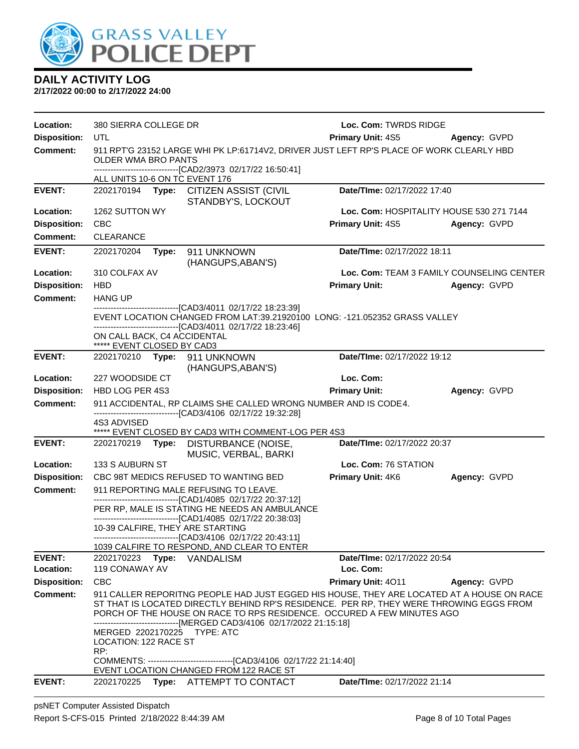

| Location:           | 380 SIERRA COLLEGE DR                                                                                                                                                                 |       |                                                                                                                                                                                                                                                                                                                                        | Loc. Com: TWRDS RIDGE       |                                           |  |
|---------------------|---------------------------------------------------------------------------------------------------------------------------------------------------------------------------------------|-------|----------------------------------------------------------------------------------------------------------------------------------------------------------------------------------------------------------------------------------------------------------------------------------------------------------------------------------------|-----------------------------|-------------------------------------------|--|
| <b>Disposition:</b> | UTL                                                                                                                                                                                   |       |                                                                                                                                                                                                                                                                                                                                        | <b>Primary Unit: 4S5</b>    | Agency: GVPD                              |  |
| Comment:            | 911 RPT'G 23152 LARGE WHI PK LP:61714V2, DRIVER JUST LEFT RP'S PLACE OF WORK CLEARLY HBD<br><b>OLDER WMA BRO PANTS</b><br>------------------------------[CAD2/3973 02/17/22 16:50:41] |       |                                                                                                                                                                                                                                                                                                                                        |                             |                                           |  |
|                     | ALL UNITS 10-6 ON TC EVENT 176                                                                                                                                                        |       |                                                                                                                                                                                                                                                                                                                                        |                             |                                           |  |
| <b>EVENT:</b>       | 2202170194 <b>Type:</b>                                                                                                                                                               |       | <b>CITIZEN ASSIST (CIVIL</b><br>STANDBY'S, LOCKOUT                                                                                                                                                                                                                                                                                     | Date/TIme: 02/17/2022 17:40 |                                           |  |
| Location:           | 1262 SUTTON WY                                                                                                                                                                        |       |                                                                                                                                                                                                                                                                                                                                        |                             | Loc. Com: HOSPITALITY HOUSE 530 271 7144  |  |
| <b>Disposition:</b> | <b>CBC</b>                                                                                                                                                                            |       |                                                                                                                                                                                                                                                                                                                                        | <b>Primary Unit: 4S5</b>    | Agency: GVPD                              |  |
| <b>Comment:</b>     | CLEARANCE                                                                                                                                                                             |       |                                                                                                                                                                                                                                                                                                                                        |                             |                                           |  |
| <b>EVENT:</b>       | 2202170204                                                                                                                                                                            | Type: | 911 UNKNOWN<br>(HANGUPS, ABAN'S)                                                                                                                                                                                                                                                                                                       | Date/TIme: 02/17/2022 18:11 |                                           |  |
| Location:           | 310 COLFAX AV                                                                                                                                                                         |       |                                                                                                                                                                                                                                                                                                                                        |                             | Loc. Com: TEAM 3 FAMILY COUNSELING CENTER |  |
| <b>Disposition:</b> | <b>HBD</b>                                                                                                                                                                            |       |                                                                                                                                                                                                                                                                                                                                        | <b>Primary Unit:</b>        | Agency: GVPD                              |  |
| <b>Comment:</b>     | <b>HANG UP</b>                                                                                                                                                                        |       |                                                                                                                                                                                                                                                                                                                                        |                             |                                           |  |
|                     |                                                                                                                                                                                       |       | --------------------------------[CAD3/4011_02/17/22_18:23:39]<br>EVENT LOCATION CHANGED FROM LAT:39.21920100 LONG: -121.052352 GRASS VALLEY<br>-------------------------------[CAD3/4011_02/17/22 18:23:46]                                                                                                                            |                             |                                           |  |
|                     | ON CALL BACK, C4 ACCIDENTAL<br>***** EVENT CLOSED BY CAD3                                                                                                                             |       |                                                                                                                                                                                                                                                                                                                                        |                             |                                           |  |
| <b>EVENT:</b>       |                                                                                                                                                                                       |       | 2202170210 Type: 911 UNKNOWN<br>(HANGUPS, ABAN'S)                                                                                                                                                                                                                                                                                      | Date/TIme: 02/17/2022 19:12 |                                           |  |
| Location:           | 227 WOODSIDE CT                                                                                                                                                                       |       |                                                                                                                                                                                                                                                                                                                                        | Loc. Com:                   |                                           |  |
| <b>Disposition:</b> | HBD LOG PER 4S3                                                                                                                                                                       |       |                                                                                                                                                                                                                                                                                                                                        | <b>Primary Unit:</b>        | Agency: GVPD                              |  |
| <b>Comment:</b>     |                                                                                                                                                                                       |       | 911 ACCIDENTAL, RP CLAIMS SHE CALLED WRONG NUMBER AND IS CODE4.<br>-------------------------------[CAD3/4106 02/17/22 19:32:28]                                                                                                                                                                                                        |                             |                                           |  |
|                     | 4S3 ADVISED                                                                                                                                                                           |       | ***** EVENT CLOSED BY CAD3 WITH COMMENT-LOG PER 4S3                                                                                                                                                                                                                                                                                    |                             |                                           |  |
| <b>EVENT:</b>       | 2202170219                                                                                                                                                                            |       | Type: DISTURBANCE (NOISE,<br>MUSIC, VERBAL, BARKI                                                                                                                                                                                                                                                                                      | Date/TIme: 02/17/2022 20:37 |                                           |  |
| Location:           | 133 S AUBURN ST                                                                                                                                                                       |       |                                                                                                                                                                                                                                                                                                                                        | Loc. Com: 76 STATION        |                                           |  |
| <b>Disposition:</b> |                                                                                                                                                                                       |       | CBC 98T MEDICS REFUSED TO WANTING BED                                                                                                                                                                                                                                                                                                  | Primary Unit: 4K6           | Agency: GVPD                              |  |
| <b>Comment:</b>     |                                                                                                                                                                                       |       | 911 REPORTING MALE REFUSING TO LEAVE.                                                                                                                                                                                                                                                                                                  |                             |                                           |  |
|                     |                                                                                                                                                                                       |       | --------------------------[CAD1/4085_02/17/22 20:37:12]<br>PER RP, MALE IS STATING HE NEEDS AN AMBULANCE<br>------------------------------[CAD1/4085 02/17/22 20:38:03]                                                                                                                                                                |                             |                                           |  |
|                     |                                                                                                                                                                                       |       | 10-39 CALFIRE, THEY ARE STARTING                                                                                                                                                                                                                                                                                                       |                             |                                           |  |
|                     |                                                                                                                                                                                       |       | -------------------------------[CAD3/4106 02/17/22 20:43:11]<br>1039 CALFIRE TO RESPOND, AND CLEAR TO ENTER                                                                                                                                                                                                                            |                             |                                           |  |
| <b>EVENT:</b>       |                                                                                                                                                                                       |       | 2202170223 Type: VANDALISM                                                                                                                                                                                                                                                                                                             | Date/TIme: 02/17/2022 20:54 |                                           |  |
| Location:           | 119 CONAWAY AV                                                                                                                                                                        |       |                                                                                                                                                                                                                                                                                                                                        | Loc. Com:                   |                                           |  |
| <b>Disposition:</b> | <b>CBC</b>                                                                                                                                                                            |       |                                                                                                                                                                                                                                                                                                                                        | Primary Unit: 4011          | Agency: GVPD                              |  |
| <b>Comment:</b>     |                                                                                                                                                                                       |       | 911 CALLER REPORITNG PEOPLE HAD JUST EGGED HIS HOUSE, THEY ARE LOCATED AT A HOUSE ON RACE<br>ST THAT IS LOCATED DIRECTLY BEHIND RP'S RESIDENCE. PER RP, THEY WERE THROWING EGGS FROM<br>PORCH OF THE HOUSE ON RACE TO RPS RESIDENCE. OCCURED A FEW MINUTES AGO<br>------------------------------[MERGED CAD3/4106 02/17/2022 21:15:18] |                             |                                           |  |
|                     | LOCATION: 122 RACE ST<br>RP:                                                                                                                                                          |       | MERGED 2202170225 TYPE: ATC                                                                                                                                                                                                                                                                                                            |                             |                                           |  |
|                     |                                                                                                                                                                                       |       | EVENT LOCATION CHANGED FROM 122 RACE ST                                                                                                                                                                                                                                                                                                |                             |                                           |  |
| <b>EVENT:</b>       |                                                                                                                                                                                       |       | 2202170225 Type: ATTEMPT TO CONTACT                                                                                                                                                                                                                                                                                                    | Date/TIme: 02/17/2022 21:14 |                                           |  |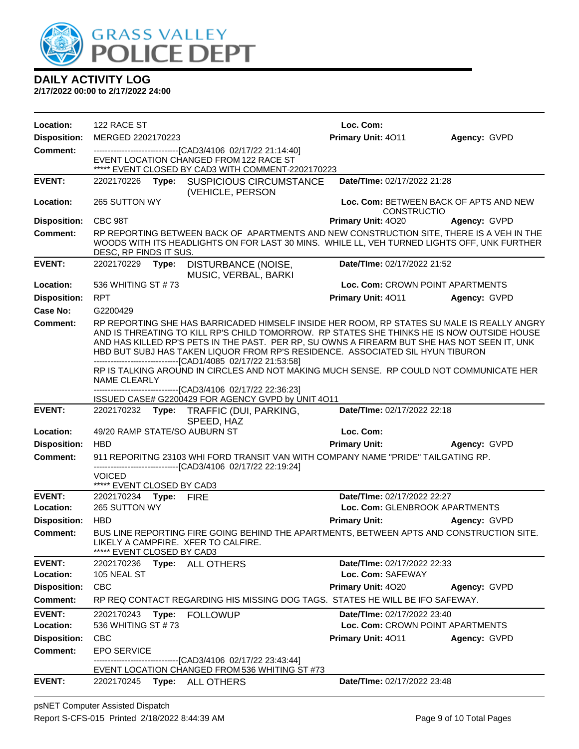

| Location:           | 122 RACE ST                                         |       |                                                                                                                                                                                                                                                                                                                                                                                                                                            | Loc. Com:                          |                                        |
|---------------------|-----------------------------------------------------|-------|--------------------------------------------------------------------------------------------------------------------------------------------------------------------------------------------------------------------------------------------------------------------------------------------------------------------------------------------------------------------------------------------------------------------------------------------|------------------------------------|----------------------------------------|
| <b>Disposition:</b> | MERGED 2202170223                                   |       |                                                                                                                                                                                                                                                                                                                                                                                                                                            | Primary Unit: 4011                 | Agency: GVPD                           |
| <b>Comment:</b>     |                                                     |       | --------------------------------[CAD3/4106 02/17/22 21:14:40]                                                                                                                                                                                                                                                                                                                                                                              |                                    |                                        |
|                     |                                                     |       | EVENT LOCATION CHANGED FROM 122 RACE ST<br>***** EVENT CLOSED BY CAD3 WITH COMMENT-2202170223                                                                                                                                                                                                                                                                                                                                              |                                    |                                        |
| <b>EVENT:</b>       | 2202170226                                          |       | Type: SUSPICIOUS CIRCUMSTANCE<br>(VEHICLE, PERSON                                                                                                                                                                                                                                                                                                                                                                                          | Date/TIme: 02/17/2022 21:28        |                                        |
| Location:           | 265 SUTTON WY                                       |       |                                                                                                                                                                                                                                                                                                                                                                                                                                            | <b>CONSTRUCTIO</b>                 | Loc. Com: BETWEEN BACK OF APTS AND NEW |
| <b>Disposition:</b> | CBC 98T                                             |       |                                                                                                                                                                                                                                                                                                                                                                                                                                            | Primary Unit: 4020                 | Agency: GVPD                           |
| <b>Comment:</b>     | DESC, RP FINDS IT SUS.                              |       | RP REPORTING BETWEEN BACK OF APARTMENTS AND NEW CONSTRUCTION SITE, THERE IS A VEH IN THE<br>WOODS WITH ITS HEADLIGHTS ON FOR LAST 30 MINS. WHILE LL, VEH TURNED LIGHTS OFF, UNK FURTHER                                                                                                                                                                                                                                                    |                                    |                                        |
| <b>EVENT:</b>       | 2202170229 Type:                                    |       | DISTURBANCE (NOISE,<br>MUSIC, VERBAL, BARKI                                                                                                                                                                                                                                                                                                                                                                                                | Date/TIme: 02/17/2022 21:52        |                                        |
| Location:           | 536 WHITING ST #73                                  |       |                                                                                                                                                                                                                                                                                                                                                                                                                                            | Loc. Com: CROWN POINT APARTMENTS   |                                        |
| <b>Disposition:</b> | <b>RPT</b>                                          |       |                                                                                                                                                                                                                                                                                                                                                                                                                                            | Primary Unit: 4011                 | Agency: GVPD                           |
| Case No:            | G2200429                                            |       |                                                                                                                                                                                                                                                                                                                                                                                                                                            |                                    |                                        |
| Comment:            |                                                     |       | RP REPORTING SHE HAS BARRICADED HIMSELF INSIDE HER ROOM, RP STATES SU MALE IS REALLY ANGRY<br>AND IS THREATING TO KILL RP'S CHILD TOMORROW. RP STATES SHE THINKS HE IS NOW OUTSIDE HOUSE<br>AND HAS KILLED RP'S PETS IN THE PAST. PER RP, SU OWNS A FIREARM BUT SHE HAS NOT SEEN IT, UNK<br>HBD BUT SUBJ HAS TAKEN LIQUOR FROM RP'S RESIDENCE. ASSOCIATED SIL HYUN TIBURON<br>-------------------------------[CAD1/4085 02/17/22 21:53:58] |                                    |                                        |
|                     | <b>NAME CLEARLY</b>                                 |       | RP IS TALKING AROUND IN CIRCLES AND NOT MAKING MUCH SENSE. RP COULD NOT COMMUNICATE HER<br>------------------------------[CAD3/4106 02/17/22 22:36:23]                                                                                                                                                                                                                                                                                     |                                    |                                        |
|                     |                                                     |       | ISSUED CASE# G2200429 FOR AGENCY GVPD by UNIT 4O11                                                                                                                                                                                                                                                                                                                                                                                         |                                    |                                        |
|                     |                                                     |       |                                                                                                                                                                                                                                                                                                                                                                                                                                            |                                    |                                        |
| <b>EVENT:</b>       |                                                     |       | 2202170232 Type: TRAFFIC (DUI, PARKING,<br>SPEED, HAZ                                                                                                                                                                                                                                                                                                                                                                                      | Date/TIme: 02/17/2022 22:18        |                                        |
| Location:           |                                                     |       | 49/20 RAMP STATE/SO AUBURN ST                                                                                                                                                                                                                                                                                                                                                                                                              | Loc. Com:                          |                                        |
| <b>Disposition:</b> | <b>HBD</b>                                          |       |                                                                                                                                                                                                                                                                                                                                                                                                                                            | <b>Primary Unit:</b>               | Agency: GVPD                           |
| <b>Comment:</b>     |                                                     |       | 911 REPORITNG 23103 WHI FORD TRANSIT VAN WITH COMPANY NAME "PRIDE" TAILGATING RP.                                                                                                                                                                                                                                                                                                                                                          |                                    |                                        |
|                     | VOICED                                              |       | -------------------------------[CAD3/4106 02/17/22 22:19:24]                                                                                                                                                                                                                                                                                                                                                                               |                                    |                                        |
| <b>EVENT:</b>       | ***** EVENT CLOSED BY CAD3<br>2202170234 Type: FIRE |       |                                                                                                                                                                                                                                                                                                                                                                                                                                            | Date/TIme: 02/17/2022 22:27        |                                        |
| Location:           | 265 SUTTON WY                                       |       |                                                                                                                                                                                                                                                                                                                                                                                                                                            | Loc. Com: GLENBROOK APARTMENTS     |                                        |
| <b>Disposition:</b> | <b>HBD</b>                                          |       |                                                                                                                                                                                                                                                                                                                                                                                                                                            | <b>Primary Unit:</b>               | <b>Agency: GVPD</b>                    |
| <b>Comment:</b>     | EVENT CLOSED BY CAD3                                |       | BUS LINE REPORTING FIRE GOING BEHIND THE APARTMENTS, BETWEEN APTS AND CONSTRUCTION SITE.<br>LIKELY A CAMPFIRE. XFER TO CALFIRE.                                                                                                                                                                                                                                                                                                            |                                    |                                        |
| <b>EVENT:</b>       | 2202170236                                          |       | Type: ALL OTHERS                                                                                                                                                                                                                                                                                                                                                                                                                           | Date/TIme: 02/17/2022 22:33        |                                        |
| Location:           | 105 NEAL ST                                         |       |                                                                                                                                                                                                                                                                                                                                                                                                                                            | Loc. Com: SAFEWAY                  |                                        |
| <b>Disposition:</b> | <b>CBC</b>                                          |       |                                                                                                                                                                                                                                                                                                                                                                                                                                            | Primary Unit: 4020                 | Agency: GVPD                           |
| <b>Comment:</b>     |                                                     |       | RP REQ CONTACT REGARDING HIS MISSING DOG TAGS. STATES HE WILL BE IFO SAFEWAY.                                                                                                                                                                                                                                                                                                                                                              |                                    |                                        |
| <b>EVENT:</b>       | 2202170243                                          | Type: | <b>FOLLOWUP</b>                                                                                                                                                                                                                                                                                                                                                                                                                            | <b>Date/TIme: 02/17/2022 23:40</b> |                                        |
| Location:           | 536 WHITING ST #73                                  |       |                                                                                                                                                                                                                                                                                                                                                                                                                                            | Loc. Com: CROWN POINT APARTMENTS   |                                        |
| <b>Disposition:</b> | <b>CBC</b>                                          |       |                                                                                                                                                                                                                                                                                                                                                                                                                                            | <b>Primary Unit: 4011</b>          | Agency: GVPD                           |
| <b>Comment:</b>     | <b>EPO SERVICE</b>                                  |       |                                                                                                                                                                                                                                                                                                                                                                                                                                            |                                    |                                        |
|                     |                                                     |       | -------[CAD3/4106_02/17/22 23:43:44]<br>EVENT LOCATION CHANGED FROM 536 WHITING ST #73                                                                                                                                                                                                                                                                                                                                                     |                                    |                                        |